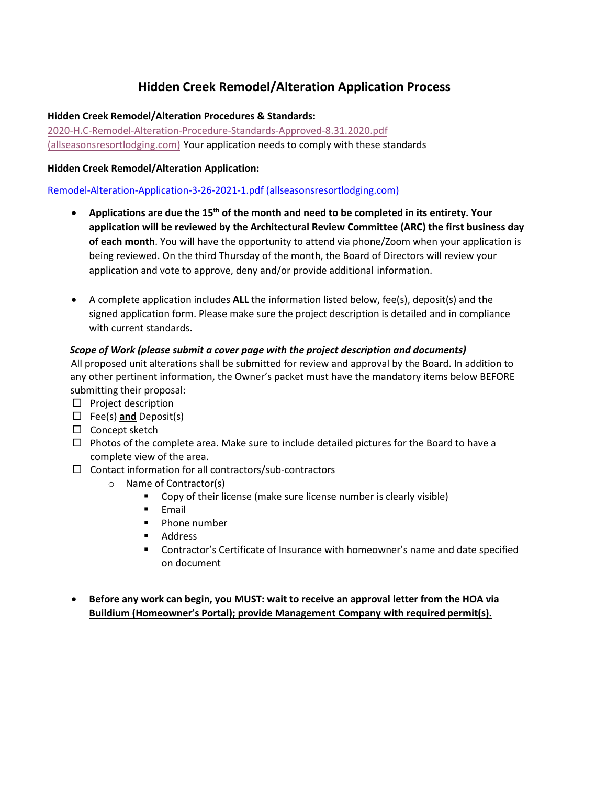## **Hidden Creek Remodel/Alteration Application Process**

### **Hidden Creek Remodel/Alteration Procedures & Standards:**

[2020-H.C-Remodel-Alteration-Procedure-Standards-Approved-8.31.2020.pdf](https://www.allseasonsresortlodging.com/wp-content/uploads/2021/04/2020-H.C-Remodel-Alteration-Procedure-Standards-Aapproved-8.31.2020.pdf)  [\(allseasonsresortlodging.com\)](https://www.allseasonsresortlodging.com/wp-content/uploads/2021/04/2020-H.C-Remodel-Alteration-Procedure-Standards-Aapproved-8.31.2020.pdf) Your application needs to comply with these standards

### **Hidden Creek Remodel/Alteration Application:**

### [Remodel-Alteration-Application-3-26-2021-1.pdf \(allseasonsresortlodging.com\)](https://www.allseasonsresortlodging.com/wp-content/uploads/2021/04/Remodel-Alteration-Application-3-26-2021-1.pdf)

- **Applications are due the 15th of the month and need to be completed in its entirety. Your application will be reviewed by the Architectural Review Committee (ARC) the first business day of each month**. You will have the opportunity to attend via phone/Zoom when your application is being reviewed. On the third Thursday of the month, the Board of Directors will review your application and vote to approve, deny and/or provide additional information.
- A complete application includes **ALL** the information listed below, fee(s), deposit(s) and the signed application form. Please make sure the project description is detailed and in compliance with current standards.

### *Scope of Work (please submit a cover page with the project description and documents)*

 All proposed unit alterations shall be submitted for review and approval by the Board. In addition to any other pertinent information, the Owner's packet must have the mandatory items below BEFORE submitting their proposal:

- $\square$  Project description
- Fee(s) **and** Deposit(s)
- $\Box$  Concept sketch
- $\Box$  Photos of the complete area. Make sure to include detailed pictures for the Board to have a complete view of the area.
- $\Box$  Contact information for all contractors/sub-contractors
	- o Name of Contractor(s)
		- **Copy of their license (make sure license number is clearly visible)**
		- $\blacksquare$  Email
		- **Phone number**
		- **Address**
		- Contractor's Certificate of Insurance with homeowner's name and date specified on document
- **Before any work can begin, you MUST: wait to receive an approval letter from the HOA via Buildium (Homeowner's Portal); provide Management Company with required permit(s).**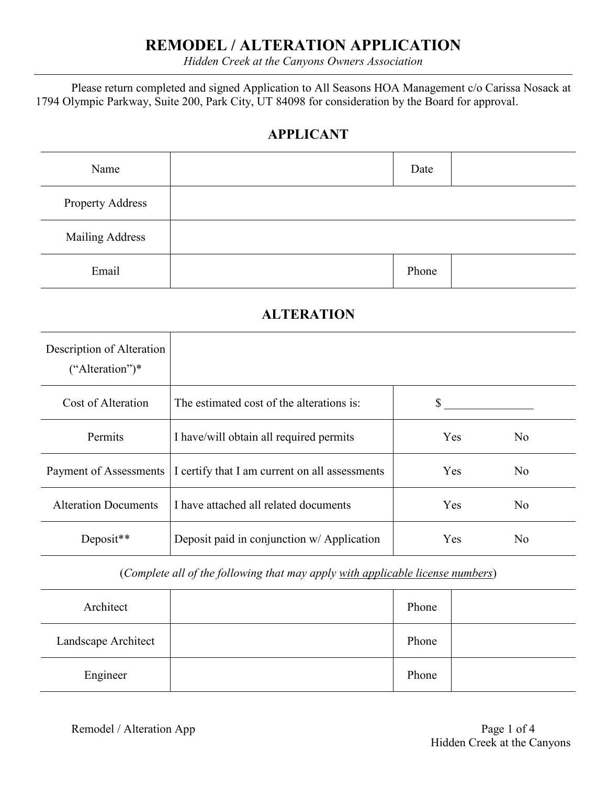## **REMODEL / ALTERATION APPLICATION**

*Hidden Creek at the Canyons Owners Association*

Please return completed and signed Application to All Seasons HOA Management c/o Carissa Nosack at 1794 Olympic Parkway, Suite 200, Park City, UT 84098 for consideration by the Board for approval.

## **APPLICANT**

| Name                    | Date  |  |
|-------------------------|-------|--|
| <b>Property Address</b> |       |  |
| <b>Mailing Address</b>  |       |  |
| Email                   | Phone |  |

## **ALTERATION**

| Description of Alteration<br>$("Alternion")^*$ |                                                |            |                |
|------------------------------------------------|------------------------------------------------|------------|----------------|
| Cost of Alteration                             | The estimated cost of the alterations is:      | S          |                |
| Permits                                        | I have/will obtain all required permits        | Yes        | N <sub>o</sub> |
| Payment of Assessments                         | I certify that I am current on all assessments | <b>Yes</b> | N <sub>o</sub> |
| <b>Alteration Documents</b>                    | I have attached all related documents          | Yes        | N <sub>o</sub> |
| Deposit**                                      | Deposit paid in conjunction w/ Application     | Yes        | N <sub>0</sub> |

(*Complete all of the following that may apply with applicable license numbers*)

| Architect           | Phone |  |
|---------------------|-------|--|
| Landscape Architect | Phone |  |
| Engineer            | Phone |  |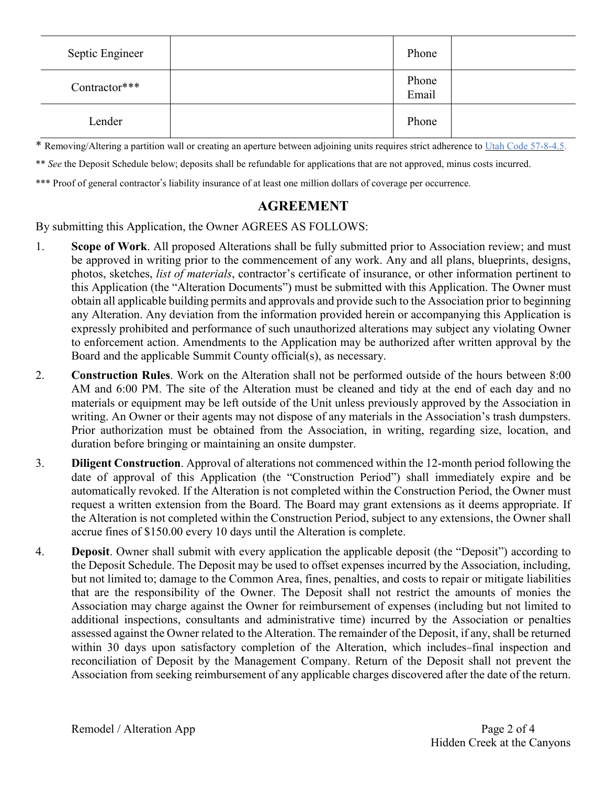| Septic Engineer | Phone          |  |
|-----------------|----------------|--|
| Contractor***   | Phone<br>Email |  |
| Lender          | Phone          |  |

\* Removing/Altering a partition wall or creating an aperture between adjoining units requires strict adherence to Utah Code [57-8-4.5.](https://le.utah.gov/xcode/Title57/Chapter8/57-8-S4.5.html?v=C57-8-S4.5_1800010120140701)

\*\* *See* the Deposit Schedule below; deposits shall be refundable for applications that are not approved, minus costs incurred.

\*\*\* Proof of general contractor's liability insurance of at least one million dollars of coverage per occurrence.

### **AGREEMENT**

By submitting this Application, the Owner AGREES AS FOLLOWS:

- 1. **Scope of Work**. All proposed Alterations shall be fully submitted prior to Association review; and must be approved in writing prior to the commencement of any work. Any and all plans, blueprints, designs, photos, sketches, *list of materials*, contractor's certificate of insurance, or other information pertinent to this Application (the "Alteration Documents") must be submitted with this Application. The Owner must obtain all applicable building permits and approvals and provide such to the Association prior to beginning any Alteration. Any deviation from the information provided herein or accompanying this Application is expressly prohibited and performance of such unauthorized alterations may subject any violating Owner to enforcement action. Amendments to the Application may be authorized after written approval by the Board and the applicable Summit County official(s), as necessary.
- 2. **Construction Rules**. Work on the Alteration shall not be performed outside of the hours between 8:00 AM and 6:00 PM. The site of the Alteration must be cleaned and tidy at the end of each day and no materials or equipment may be left outside of the Unit unless previously approved by the Association in writing. An Owner or their agents may not dispose of any materials in the Association's trash dumpsters. Prior authorization must be obtained from the Association, in writing, regarding size, location, and duration before bringing or maintaining an onsite dumpster.
- 3. **Diligent Construction**. Approval of alterations not commenced within the 12-month period following the date of approval of this Application (the "Construction Period") shall immediately expire and be automatically revoked. If the Alteration is not completed within the Construction Period, the Owner must request a written extension from the Board. The Board may grant extensions as it deems appropriate. If the Alteration is not completed within the Construction Period, subject to any extensions, the Owner shall accrue fines of \$150.00 every 10 days until the Alteration is complete.
- 4. **Deposit**. Owner shall submit with every application the applicable deposit (the "Deposit") according to the Deposit Schedule. The Deposit may be used to offset expenses incurred by the Association, including, but not limited to; damage to the Common Area, fines, penalties, and costs to repair or mitigate liabilities that are the responsibility of the Owner. The Deposit shall not restrict the amounts of monies the Association may charge against the Owner for reimbursement of expenses (including but not limited to additional inspections, consultants and administrative time) incurred by the Association or penalties assessed against the Owner related to the Alteration. The remainder of the Deposit, if any, shall be returned within 30 days upon satisfactory completion of the Alteration, which includes-final inspection and reconciliation of Deposit by the Management Company. Return of the Deposit shall not prevent the Association from seeking reimbursement of any applicable charges discovered after the date of the return.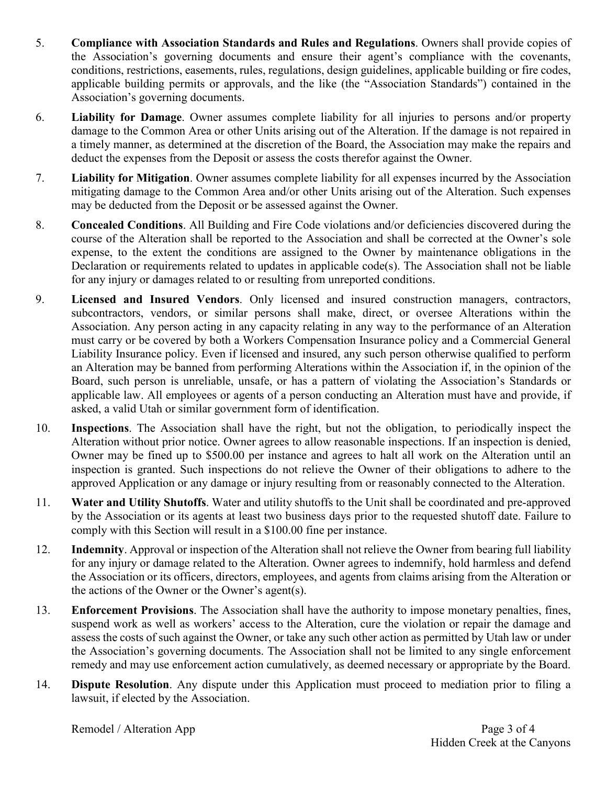- 5. **Compliance with Association Standards and Rules and Regulations**. Owners shall provide copies of the Association's governing documents and ensure their agent's compliance with the covenants, conditions, restrictions, easements, rules, regulations, design guidelines, applicable building or fire codes, applicable building permits or approvals, and the like (the "Association Standards") contained in the Association's governing documents.
- 6. **Liability for Damage**. Owner assumes complete liability for all injuries to persons and/or property damage to the Common Area or other Units arising out of the Alteration. If the damage is not repaired in a timely manner, as determined at the discretion of the Board, the Association may make the repairs and deduct the expenses from the Deposit or assess the costs therefor against the Owner.
- 7. **Liability for Mitigation**. Owner assumes complete liability for all expenses incurred by the Association mitigating damage to the Common Area and/or other Units arising out of the Alteration. Such expenses may be deducted from the Deposit or be assessed against the Owner.
- 8. **Concealed Conditions**. All Building and Fire Code violations and/or deficiencies discovered during the course of the Alteration shall be reported to the Association and shall be corrected at the Owner's sole expense, to the extent the conditions are assigned to the Owner by maintenance obligations in the Declaration or requirements related to updates in applicable code(s). The Association shall not be liable for any injury or damages related to or resulting from unreported conditions.
- 9. **Licensed and Insured Vendors**. Only licensed and insured construction managers, contractors, subcontractors, vendors, or similar persons shall make, direct, or oversee Alterations within the Association. Any person acting in any capacity relating in any way to the performance of an Alteration must carry or be covered by both a Workers Compensation Insurance policy and a Commercial General Liability Insurance policy. Even if licensed and insured, any such person otherwise qualified to perform an Alteration may be banned from performing Alterations within the Association if, in the opinion of the Board, such person is unreliable, unsafe, or has a pattern of violating the Association's Standards or applicable law. All employees or agents of a person conducting an Alteration must have and provide, if asked, a valid Utah or similar government form of identification.
- 10. **Inspections**. The Association shall have the right, but not the obligation, to periodically inspect the Alteration without prior notice. Owner agrees to allow reasonable inspections. If an inspection is denied, Owner may be fined up to \$500.00 per instance and agrees to halt all work on the Alteration until an inspection is granted. Such inspections do not relieve the Owner of their obligations to adhere to the approved Application or any damage or injury resulting from or reasonably connected to the Alteration.
- 11. **Water and Utility Shutoffs**. Water and utility shutoffs to the Unit shall be coordinated and pre-approved by the Association or its agents at least two business days prior to the requested shutoff date. Failure to comply with this Section will result in a \$100.00 fine per instance.
- 12. **Indemnity**. Approval or inspection of the Alteration shall not relieve the Owner from bearing full liability for any injury or damage related to the Alteration. Owner agrees to indemnify, hold harmless and defend the Association or its officers, directors, employees, and agents from claims arising from the Alteration or the actions of the Owner or the Owner's agent(s).
- 13. **Enforcement Provisions**. The Association shall have the authority to impose monetary penalties, fines, suspend work as well as workers' access to the Alteration, cure the violation or repair the damage and assess the costs of such against the Owner, or take any such other action as permitted by Utah law or under the Association's governing documents. The Association shall not be limited to any single enforcement remedy and may use enforcement action cumulatively, as deemed necessary or appropriate by the Board.
- 14. **Dispute Resolution**. Any dispute under this Application must proceed to mediation prior to filing a lawsuit, if elected by the Association.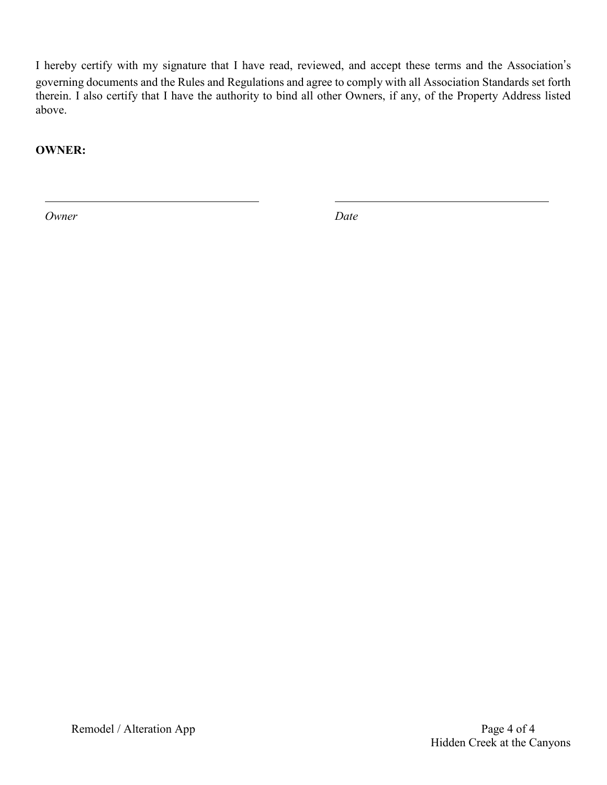I hereby certify with my signature that I have read, reviewed, and accept these terms and the Association's governing documents and the Rules and Regulations and agree to comply with all Association Standards set forth therein. I also certify that I have the authority to bind all other Owners, if any, of the Property Address listed above.

**OWNER:**

*Owner Date*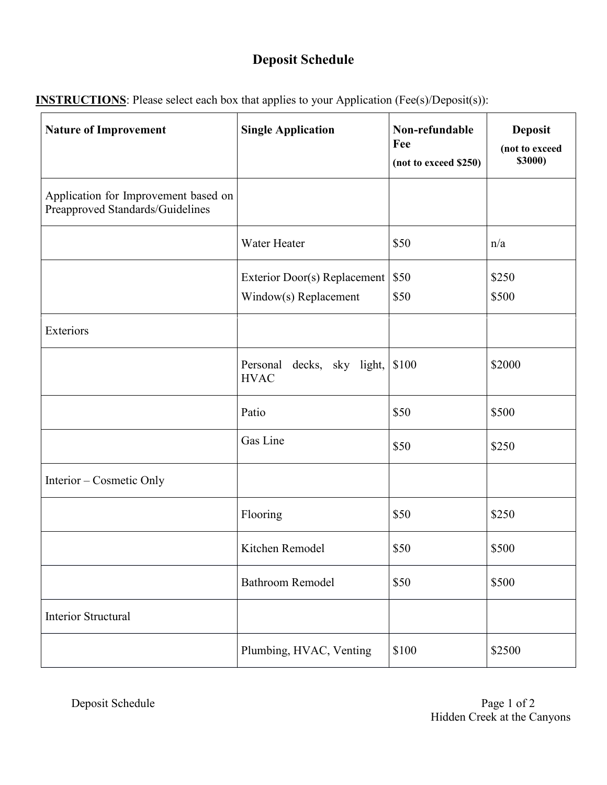# **Deposit Schedule**

| <b>Nature of Improvement</b>                                             | <b>Single Application</b>                             | Non-refundable<br>Fee<br>(not to exceed \$250) | <b>Deposit</b><br>(not to exceed<br><b>\$3000)</b> |
|--------------------------------------------------------------------------|-------------------------------------------------------|------------------------------------------------|----------------------------------------------------|
| Application for Improvement based on<br>Preapproved Standards/Guidelines |                                                       |                                                |                                                    |
|                                                                          | Water Heater                                          | \$50                                           | n/a                                                |
|                                                                          | Exterior Door(s) Replacement<br>Window(s) Replacement | \$50<br>\$50                                   | \$250<br>\$500                                     |
| Exteriors                                                                |                                                       |                                                |                                                    |
|                                                                          | Personal decks, sky light,<br><b>HVAC</b>             | \$100                                          | \$2000                                             |
|                                                                          | Patio                                                 | \$50                                           | \$500                                              |
|                                                                          | Gas Line                                              | \$50                                           | \$250                                              |
| Interior – Cosmetic Only                                                 |                                                       |                                                |                                                    |
|                                                                          | Flooring                                              | \$50                                           | \$250                                              |
|                                                                          | Kitchen Remodel                                       | \$50                                           | \$500                                              |
|                                                                          | <b>Bathroom Remodel</b>                               | \$50                                           | \$500                                              |
| <b>Interior Structural</b>                                               |                                                       |                                                |                                                    |
|                                                                          | Plumbing, HVAC, Venting                               | \$100                                          | \$2500                                             |

**INSTRUCTIONS**: Please select each box that applies to your Application (Fee(s)/Deposit(s)):

Deposit Schedule Page 1 of 2 Hidden Creek at the Canyons